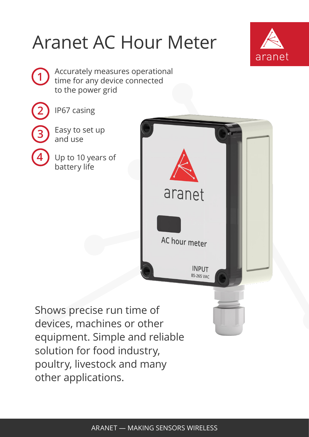## Aranet AC Hour Meter







**4**

IP67 casing

Easy to set up and use

Up to 10 years of battery life



Shows precise run time of devices, machines or other equipment. Simple and reliable solution for food industry, poultry, livestock and many other applications.